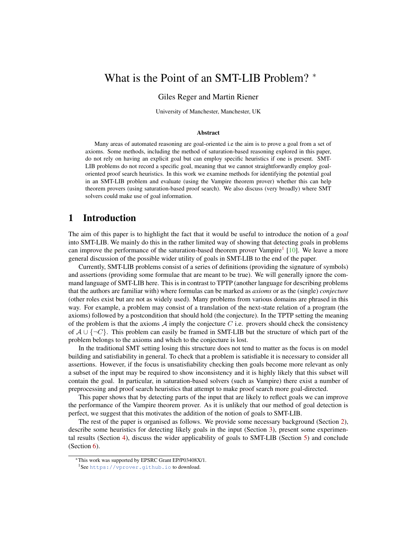# What is the Point of an SMT-LIB Problem? <sup>∗</sup>

#### Giles Reger and Martin Riener

University of Manchester, Manchester, UK

#### Abstract

Many areas of automated reasoning are goal-oriented i.e the aim is to prove a goal from a set of axioms. Some methods, including the method of saturation-based reasoning explored in this paper, do not rely on having an explicit goal but can employ specific heuristics if one is present. SMT-LIB problems do not record a specific goal, meaning that we cannot straightforwardly employ goaloriented proof search heuristics. In this work we examine methods for identifying the potential goal in an SMT-LIB problem and evaluate (using the Vampire theorem prover) whether this can help theorem provers (using saturation-based proof search). We also discuss (very broadly) where SMT solvers could make use of goal information.

### 1 Introduction

The aim of this paper is to highlight the fact that it would be useful to introduce the notion of a *goal* into SMT-LIB. We mainly do this in the rather limited way of showing that detecting goals in problems can improve the performance of the saturation-based theorem prover Vampire<sup>[1](#page-0-0)</sup> [\[10\]](#page-8-0). We leave a more general discussion of the possible wider utility of goals in SMT-LIB to the end of the paper.

Currently, SMT-LIB problems consist of a series of definitions (providing the signature of symbols) and assertions (providing some formulae that are meant to be true). We will generally ignore the command language of SMT-LIB here. This is in contrast to TPTP (another language for describing problems that the authors are familiar with) where formulas can be marked as *axioms* or as the (single) *conjecture* (other roles exist but are not as widely used). Many problems from various domains are phrased in this way. For example, a problem may consist of a translation of the next-state relation of a program (the axioms) followed by a postcondition that should hold (the conjecture). In the TPTP setting the meaning of the problem is that the axioms  $A$  imply the conjecture  $C$  i.e. provers should check the consistency of  $A \cup \{\neg C\}$ . This problem can easily be framed in SMT-LIB but the structure of which part of the problem belongs to the axioms and which to the conjecture is lost.

In the traditional SMT setting losing this structure does not tend to matter as the focus is on model building and satisfiability in general. To check that a problem is satisfiable it is necessary to consider all assertions. However, if the focus is unsatisfiability checking then goals become more relevant as only a subset of the input may be required to show inconsistency and it is highly likely that this subset will contain the goal. In particular, in saturation-based solvers (such as Vampire) there exist a number of preprocessing and proof search heuristics that attempt to make proof search more goal-directed.

This paper shows that by detecting parts of the input that are likely to reflect goals we can improve the performance of the Vampire theorem prover. As it is unlikely that our method of goal detection is perfect, we suggest that this motivates the addition of the notion of goals to SMT-LIB.

The rest of the paper is organised as follows. We provide some necessary background (Section [2\)](#page-1-0), describe some heuristics for detecting likely goals in the input (Section [3\)](#page-2-0), present some experimental results (Section [4\)](#page-4-0), discuss the wider applicability of goals to SMT-LIB (Section [5\)](#page-5-0) and conclude (Section [6\)](#page-7-0).

<sup>∗</sup>This work was supported by EPSRC Grant EP/P03408X/1.

<span id="page-0-0"></span><sup>1</sup>See <https://vprover.github.io> to download.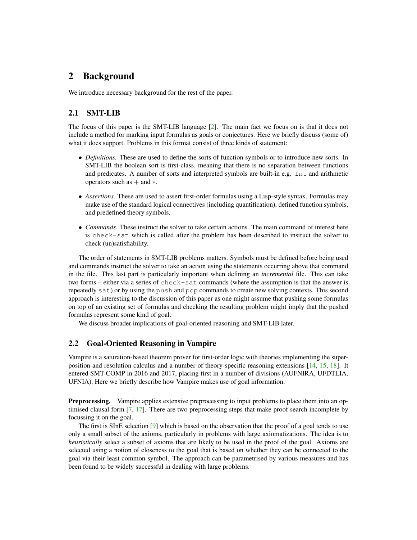## <span id="page-1-0"></span>2 Background

We introduce necessary background for the rest of the paper.

### 2.1 SMT-LIB

The focus of this paper is the SMT-LIB language [\[2\]](#page-7-1). The main fact we focus on is that it does not include a method for marking input formulas as goals or conjectures. Here we briefly discuss (some of) what it does support. Problems in this format consist of three kinds of statement:

- *Definitions.* These are used to define the sorts of function symbols or to introduce new sorts. In SMT-LIB the boolean sort is first-class, meaning that there is no separation between functions and predicates. A number of sorts and interpreted symbols are built-in e.g. Int and arithmetic operators such as  $+$  and  $*$ .
- *Assertions.* These are used to assert first-order formulas using a Lisp-style syntax. Formulas may make use of the standard logical connectives (including quantification), defined function symbols, and predefined theory symbols.
- *Commands*. These instruct the solver to take certain actions. The main command of interest here is check-sat which is called after the problem has been described to instruct the solver to check (un)satisfiability.

The order of statements in SMT-LIB problems matters. Symbols must be defined before being used and commands instruct the solver to take an action using the statements occurring above that command in the file. This last part is particularly important when defining an *incremental* file. This can take two forms – either via a series of check-sat commands (where the assumption is that the answer is repeatedly sat) or by using the push and pop commands to create new solving contexts. This second approach is interesting to the discussion of this paper as one might assume that pushing some formulas on top of an existing set of formulas and checking the resulting problem might imply that the pushed formulas represent some kind of goal.

We discuss broader implications of goal-oriented reasoning and SMT-LIB later.

### 2.2 Goal-Oriented Reasoning in Vampire

Vampire is a saturation-based theorem prover for first-order logic with theories implementing the superposition and resolution calculus and a number of theory-specific reasoning extensions [\[14,](#page-8-1) [15,](#page-8-2) [18\]](#page-8-3). It entered SMT-COMP in 2016 and 2017, placing first in a number of divisions (AUFNIRA, UFDTLIA, UFNIA). Here we briefly describe how Vampire makes use of goal information.

**Preprocessing.** Vampire applies extensive preprocessing to input problems to place them into an optimised clausal form [\[7,](#page-8-4) [17\]](#page-8-5). There are two preprocessing steps that make proof search incomplete by focussing it on the goal.

The first is SInE selection [\[9\]](#page-8-6) which is based on the observation that the proof of a goal tends to use only a small subset of the axioms, particularly in problems with large axiomatizations. The idea is to *heuristically* select a subset of axioms that are likely to be used in the proof of the goal. Axioms are selected using a notion of closeness to the goal that is based on whether they can be connected to the goal via their least common symbol. The approach can be parametrised by various measures and has been found to be widely successful in dealing with large problems.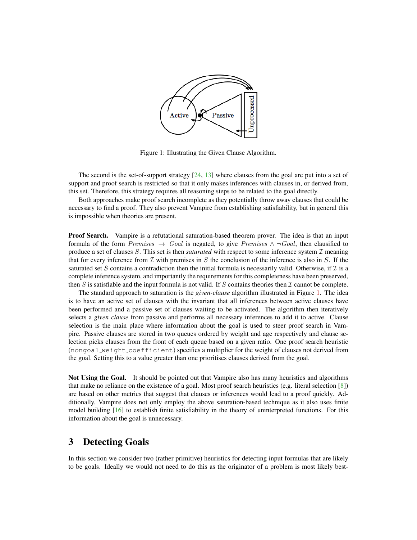

<span id="page-2-1"></span>Figure 1: Illustrating the Given Clause Algorithm.

The second is the set-of-support strategy [\[24,](#page-9-0) [13\]](#page-8-7) where clauses from the goal are put into a set of support and proof search is restricted so that it only makes inferences with clauses in, or derived from, this set. Therefore, this strategy requires all reasoning steps to be related to the goal directly.

Both approaches make proof search incomplete as they potentially throw away clauses that could be necessary to find a proof. They also prevent Vampire from establishing satisfiability, but in general this is impossible when theories are present.

Proof Search. Vampire is a refutational saturation-based theorem prover. The idea is that an input formula of the form Premises  $\rightarrow$  Goal is negated, to give Premises  $\land \neg Goal$ , then clausified to produce a set of clauses S. This set is then *saturated* with respect to some inference system  $\mathcal I$  meaning that for every inference from  $\mathcal I$  with premises in  $S$  the conclusion of the inference is also in  $S$ . If the saturated set S contains a contradiction then the initial formula is necessarily valid. Otherwise, if  $\mathcal I$  is a complete inference system, and importantly the requirements for this completeness have been preserved, then S is satisfiable and the input formula is not valid. If S contains theories then  $\mathcal I$  cannot be complete.

The standard approach to saturation is the *given-clause* algorithm illustrated in Figure [1.](#page-2-1) The idea is to have an active set of clauses with the invariant that all inferences between active clauses have been performed and a passive set of clauses waiting to be activated. The algorithm then iteratively selects a *given clause* from passive and performs all necessary inferences to add it to active. Clause selection is the main place where information about the goal is used to steer proof search in Vampire. Passive clauses are stored in two queues ordered by weight and age respectively and clause selection picks clauses from the front of each queue based on a given ratio. One proof search heuristic (nongoal weight coefficient) specifies a multiplier for the weight of clauses not derived from the goal. Setting this to a value greater than one prioritises clauses derived from the goal.

Not Using the Goal. It should be pointed out that Vampire also has many heuristics and algorithms that make no reliance on the existence of a goal. Most proof search heuristics (e.g. literal selection [\[8\]](#page-8-8)) are based on other metrics that suggest that clauses or inferences would lead to a proof quickly. Additionally, Vampire does not only employ the above saturation-based technique as it also uses finite model building  $[16]$  to establish finite satisfiability in the theory of uninterpreted functions. For this information about the goal is unnecessary.

## <span id="page-2-0"></span>3 Detecting Goals

In this section we consider two (rather primitive) heuristics for detecting input formulas that are likely to be goals. Ideally we would not need to do this as the originator of a problem is most likely best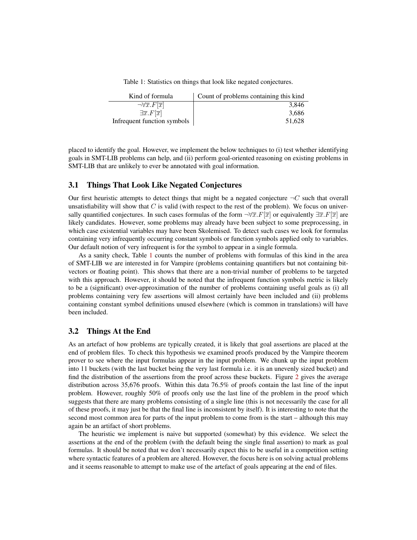Table 1: Statistics on things that look like negated conjectures.

<span id="page-3-0"></span>

| Kind of formula                              | Count of problems containing this kind |
|----------------------------------------------|----------------------------------------|
| $\neg \forall \overline{x}. F[\overline{x}]$ | 3.846                                  |
| $\exists \overline{x}. F[\overline{x}]$      | 3.686                                  |
| Infrequent function symbols                  | 51.628                                 |

placed to identify the goal. However, we implement the below techniques to (i) test whether identifying goals in SMT-LIB problems can help, and (ii) perform goal-oriented reasoning on existing problems in SMT-LIB that are unlikely to ever be annotated with goal information.

#### 3.1 Things That Look Like Negated Conjectures

Our first heuristic attempts to detect things that might be a negated conjecture  $\neg C$  such that overall unsatisfiability will show that  $C$  is valid (with respect to the rest of the problem). We focus on universally quantified conjectures. In such cases formulas of the form  $\neg \forall \overline{x}.F[\overline{x}]$  or equivalently  $\exists \overline{x}.F[\overline{x}]$  are likely candidates. However, some problems may already have been subject to some preprocessing, in which case existential variables may have been Skolemised. To detect such cases we look for formulas containing very infrequently occurring constant symbols or function symbols applied only to variables. Our default notion of very infrequent is for the symbol to appear in a single formula.

As a sanity check, Table [1](#page-3-0) counts the number of problems with formulas of this kind in the area of SMT-LIB we are interested in for Vampire (problems containing quantifiers but not containing bitvectors or floating point). This shows that there are a non-trivial number of problems to be targeted with this approach. However, it should be noted that the infrequent function symbols metric is likely to be a (significant) over-approximation of the number of problems containing useful goals as (i) all problems containing very few assertions will almost certainly have been included and (ii) problems containing constant symbol definitions unused elsewhere (which is common in translations) will have been included.

#### 3.2 Things At the End

As an artefact of how problems are typically created, it is likely that goal assertions are placed at the end of problem files. To check this hypothesis we examined proofs produced by the Vampire theorem prover to see where the input formulas appear in the input problem. We chunk up the input problem into 11 buckets (with the last bucket being the very last formula i.e. it is an unevenly sized bucket) and find the distribution of the assertions from the proof across these buckets. Figure [2](#page-4-1) gives the average distribution across 35,676 proofs. Within this data 76.5% of proofs contain the last line of the input problem. However, roughly 50% of proofs only use the last line of the problem in the proof which suggests that there are many problems consisting of a single line (this is not necessarily the case for all of these proofs, it may just be that the final line is inconsistent by itself). It is interesting to note that the second most common area for parts of the input problem to come from is the start – although this may again be an artifact of short problems.

The heuristic we implement is naive but supported (somewhat) by this evidence. We select the assertions at the end of the problem (with the default being the single final assertion) to mark as goal formulas. It should be noted that we don't necessarily expect this to be useful in a competition setting where syntactic features of a problem are altered. However, the focus here is on solving actual problems and it seems reasonable to attempt to make use of the artefact of goals appearing at the end of files.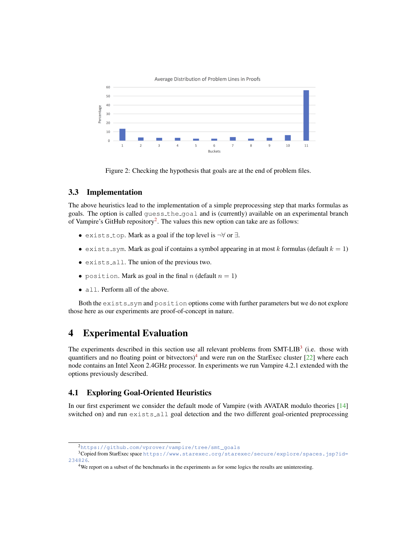

<span id="page-4-1"></span>Figure 2: Checking the hypothesis that goals are at the end of problem files.

### 3.3 Implementation

The above heuristics lead to the implementation of a simple preprocessing step that marks formulas as goals. The option is called guess the goal and is (currently) available on an experimental branch of Vampire's GitHub repository<sup>[2](#page-4-2)</sup>. The values this new option can take are as follows:

- exists\_top. Mark as a goal if the top level is  $\neg \forall$  or  $\exists$ .
- exists sym. Mark as goal if contains a symbol appearing in at most k formulas (default  $k = 1$ )
- exists all. The union of the previous two.
- position. Mark as goal in the final n (default  $n = 1$ )
- all. Perform all of the above.

Both the exists sym and position options come with further parameters but we do not explore those here as our experiments are proof-of-concept in nature.

## <span id="page-4-0"></span>4 Experimental Evaluation

The experiments described in this section use all relevant problems from SMT-LIB<sup>[3](#page-4-3)</sup> (i.e. those with quantifiers and no floating point or bitvectors)<sup>[4](#page-4-4)</sup> and were run on the StarExec cluster [\[22\]](#page-8-10) where each node contains an Intel Xeon 2.4GHz processor. In experiments we run Vampire 4.2.1 extended with the options previously described.

### 4.1 Exploring Goal-Oriented Heuristics

In our first experiment we consider the default mode of Vampire (with AVATAR modulo theories [\[14\]](#page-8-1) switched on) and run exists all goal detection and the two different goal-oriented preprocessing

<span id="page-4-3"></span><span id="page-4-2"></span><sup>2</sup>[https://github.com/vprover/vampire/tree/smt\\_goals](https://github.com/vprover/vampire/tree/smt_goals)

<sup>3</sup>Copied from StarExec space [https://www.starexec.org/starexec/secure/explore/spaces.jsp?id=](https://www.starexec.org/starexec/secure/explore/spaces.jsp?id=234826) [234826](https://www.starexec.org/starexec/secure/explore/spaces.jsp?id=234826).

<span id="page-4-4"></span><sup>&</sup>lt;sup>4</sup>We report on a subset of the benchmarks in the experiments as for some logics the results are uninteresting.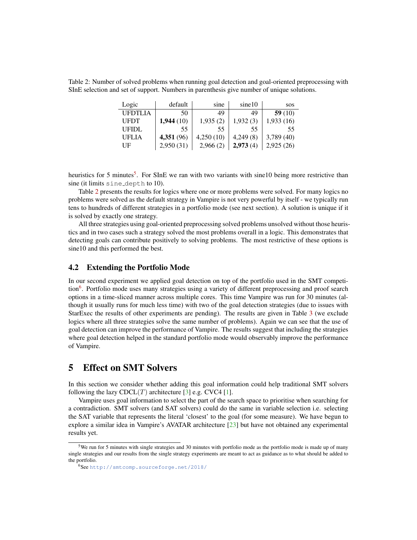<span id="page-5-2"></span>Table 2: Number of solved problems when running goal detection and goal-oriented preprocessing with SInE selection and set of support. Numbers in parenthesis give number of unique solutions.

| Logic        | default   | sine      | sine10   | <b>SOS</b> |
|--------------|-----------|-----------|----------|------------|
| UFDTLIA      | 50        | 49        | 49       | 59 $(10)$  |
| <b>UFDT</b>  | 1,944(10) | 1,935(2)  | 1,932(3) | 1,933(16)  |
| <b>UFIDL</b> | 55        | 55        | 55       | 55         |
| UFLIA        | 4,351(96) | 4,250(10) | 4,249(8) | 3,789(40)  |
| UF           | 2,950(31) | 2,966(2)  | 2,973(4) | 2,925(26)  |

heuristics for [5](#page-5-1) minutes<sup>5</sup>. For SInE we ran with two variants with sine10 being more restrictive than sine (it limits sine depth to 10).

Table [2](#page-5-2) presents the results for logics where one or more problems were solved. For many logics no problems were solved as the default strategy in Vampire is not very powerful by itself - we typically run tens to hundreds of different strategies in a portfolio mode (see next section). A solution is unique if it is solved by exactly one strategy.

All three strategies using goal-oriented preprocessing solved problems unsolved without those heuristics and in two cases such a strategy solved the most problems overall in a logic. This demonstrates that detecting goals can contribute positively to solving problems. The most restrictive of these options is sine10 and this performed the best.

#### 4.2 Extending the Portfolio Mode

In our second experiment we applied goal detection on top of the portfolio used in the SMT competi-tion<sup>[6](#page-5-3)</sup>. Portfolio mode uses many strategies using a variety of different preprocessing and proof search options in a time-sliced manner across multiple cores. This time Vampire was run for 30 minutes (although it usually runs for much less time) with two of the goal detection strategies (due to issues with StarExec the results of other experiments are pending). The results are given in Table [3](#page-6-0) (we exclude logics where all three strategies solve the same number of problems). Again we can see that the use of goal detection can improve the performance of Vampire. The results suggest that including the strategies where goal detection helped in the standard portfolio mode would observably improve the performance of Vampire.

## <span id="page-5-0"></span>5 Effect on SMT Solvers

In this section we consider whether adding this goal information could help traditional SMT solvers following the lazy  $CDCL(T)$  architecture [\[3\]](#page-7-2) e.g. CVC4 [\[1\]](#page-7-3).

Vampire uses goal information to select the part of the search space to prioritise when searching for a contradiction. SMT solvers (and SAT solvers) could do the same in variable selection i.e. selecting the SAT variable that represents the literal 'closest' to the goal (for some measure). We have begun to explore a similar idea in Vampire's AVATAR architecture [\[23\]](#page-9-1) but have not obtained any experimental results yet.

<span id="page-5-1"></span><sup>5</sup>We run for 5 minutes with single strategies and 30 minutes with portfolio mode as the portfolio mode is made up of many single strategies and our results from the single strategy experiments are meant to act as guidance as to what should be added to the portfolio.

<span id="page-5-3"></span><sup>6</sup>See <http://smtcomp.sourceforge.net/2018/>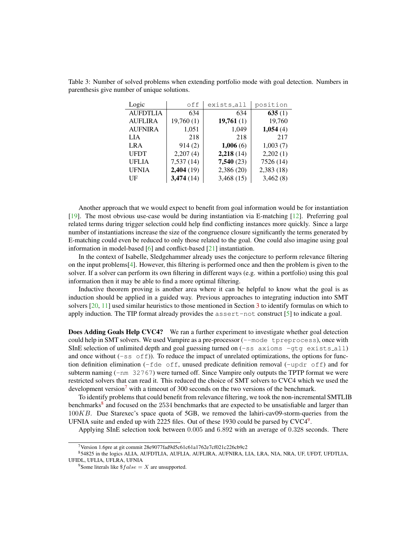<span id="page-6-0"></span>Table 3: Number of solved problems when extending portfolio mode with goal detection. Numbers in parenthesis give number of unique solutions.

| Logic           | off        | exists_all | position  |
|-----------------|------------|------------|-----------|
| <b>AUFDTLIA</b> | 634        | 634        | 635(1)    |
| <b>AUFLIRA</b>  | 19,760(1)  | 19,761(1)  | 19,760    |
| <b>AUFNIRA</b>  | 1,051      | 1,049      | 1,054(4)  |
| LIA             | 218        | 218        | 217       |
| LRA             | 914(2)     | 1,006(6)   | 1,003(7)  |
| UFDT            | 2,207(4)   | 2,218(14)  | 2,202(1)  |
| UFLIA           | 7,537(14)  | 7,540(23)  | 7526 (14) |
| <b>UFNIA</b>    | 2,404 (19) | 2,386(20)  | 2,383(18) |
| UF              | 3,474(14)  | 3,468(15)  | 3,462(8)  |

Another approach that we would expect to benefit from goal information would be for instantiation [\[19\]](#page-8-11). The most obvious use-case would be during instantiation via E-matching [\[12\]](#page-8-12). Preferring goal related terms during trigger selection could help find conflicting instances more quickly. Since a large number of instantiations increase the size of the congruence closure significantly the terms generated by E-matching could even be reduced to only those related to the goal. One could also imagine using goal information in model-based [\[6\]](#page-8-13) and conflict-based [\[21\]](#page-8-14) instantiation.

In the context of Isabelle, Sledgehammer already uses the conjecture to perform relevance filtering on the input problems[\[4\]](#page-7-4). However, this filtering is performed once and then the problem is given to the solver. If a solver can perform its own filtering in different ways (e.g. within a portfolio) using this goal information then it may be able to find a more optimal filtering.

Inductive theorem proving is another area where it can be helpful to know what the goal is as induction should be applied in a guided way. Previous approaches to integrating induction into SMT solvers [\[20,](#page-8-15) [11\]](#page-8-16) used similar heuristics to those mentioned in Section [3](#page-2-0) to identify formulas on which to apply induction. The TIP format already provides the  $assert-not$  construct  $[5]$  to indicate a goal.

Does Adding Goals Help CVC4? We ran a further experiment to investigate whether goal detection could help in SMT solvers. We used Vampire as a pre-processor  $(-\text{mode } \text{tr}$  epreprocess), once with SInE selection of unlimited depth and goal guessing turned on  $(-ss \, \text{axioms} -gtg \, \text{exists all})$ and once without  $(-s\, \infty \, \text{cf})$ ). To reduce the impact of unrelated optimizations, the options for function definition elimination ( $-\text{fde }$  off, unused predicate definition removal ( $-\text{updr }$  off) and for subterm naming  $(-nm \ 32767)$  were turned off. Since Vampire only outputs the TPTP format we were restricted solvers that can read it. This reduced the choice of SMT solvers to CVC4 which we used the development version<sup>[7](#page-6-1)</sup> with a timeout of 300 seconds on the two versions of the benchmark.

To identify problems that could benefit from relevance filtering, we took the non-incremental SMTLIB benchmarks<sup>[8](#page-6-2)</sup> and focused on the 2534 benchmarks that are expected to be unsatisfiable and larger than 100KB. Due Starexec's space quota of 5GB, we removed the lahiri-cav09-storm-queries from the UFNIA suite and ended up with 2225 files. Out of these 1[9](#page-6-3)30 could be parsed by  $CVC4<sup>9</sup>$ .

Applying SInE selection took between 0.005 and 6.892 with an average of 0.328 seconds. There

<span id="page-6-2"></span><span id="page-6-1"></span><sup>7</sup>Version 1.6pre at git commit 28e9077fad9d5c61c61a1762e7cf021c226cb9c2

<sup>8</sup>54825 in the logics ALIA, AUFDTLIA, AUFLIA, AUFLIRA, AUFNIRA, LIA, LRA, NIA, NRA, UF, UFDT, UFDTLIA, UFIDL, UFLIA, UFLRA, UFNIA

<span id="page-6-3"></span><sup>&</sup>lt;sup>9</sup>Some literals like  $\$false = X$  are unsupported.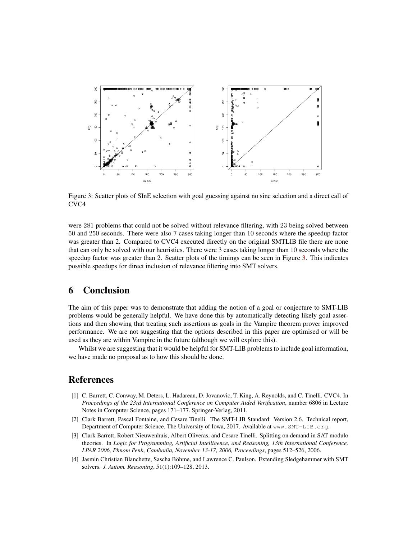<span id="page-7-5"></span>

Figure 3: Scatter plots of SInE selection with goal guessing against no sine selection and a direct call of CVC4

were 281 problems that could not be solved without relevance filtering, with 23 being solved between 50 and 250 seconds. There were also 7 cases taking longer than 10 seconds where the speedup factor was greater than 2. Compared to CVC4 executed directly on the original SMTLIB file there are none that can only be solved with our heuristics. There were 3 cases taking longer than 10 seconds where the speedup factor was greater than 2. Scatter plots of the timings can be seen in Figure [3.](#page-7-5) This indicates possible speedups for direct inclusion of relevance filtering into SMT solvers.

## <span id="page-7-0"></span>6 Conclusion

The aim of this paper was to demonstrate that adding the notion of a goal or conjecture to SMT-LIB problems would be generally helpful. We have done this by automatically detecting likely goal assertions and then showing that treating such assertions as goals in the Vampire theorem prover improved performance. We are not suggesting that the options described in this paper are optimised or will be used as they are within Vampire in the future (although we will explore this).

Whilst we are suggesting that it would be helpful for SMT-LIB problems to include goal information, we have made no proposal as to how this should be done.

## References

- <span id="page-7-3"></span>[1] C. Barrett, C. Conway, M. Deters, L. Hadarean, D. Jovanovic, T. King, A. Reynolds, and C. Tinelli. CVC4. In *Proceedings of the 23rd International Conference on Computer Aided Verification*, number 6806 in Lecture Notes in Computer Science, pages 171–177. Springer-Verlag, 2011.
- <span id="page-7-1"></span>[2] Clark Barrett, Pascal Fontaine, and Cesare Tinelli. The SMT-LIB Standard: Version 2.6. Technical report, Department of Computer Science, The University of Iowa, 2017. Available at www.SMT-LIB.org.
- <span id="page-7-2"></span>[3] Clark Barrett, Robert Nieuwenhuis, Albert Oliveras, and Cesare Tinelli. Splitting on demand in SAT modulo theories. In *Logic for Programming, Artificial Intelligence, and Reasoning, 13th International Conference, LPAR 2006, Phnom Penh, Cambodia, November 13-17, 2006, Proceedings*, pages 512–526, 2006.
- <span id="page-7-4"></span>[4] Jasmin Christian Blanchette, Sascha Böhme, and Lawrence C. Paulson. Extending Sledgehammer with SMT solvers. *J. Autom. Reasoning*, 51(1):109–128, 2013.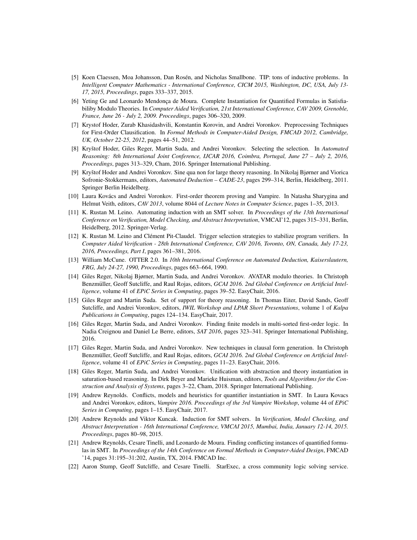- <span id="page-8-17"></span>[5] Koen Claessen, Moa Johansson, Dan Rosén, and Nicholas Smallbone. TIP: tons of inductive problems. In *Intelligent Computer Mathematics - International Conference, CICM 2015, Washington, DC, USA, July 13- 17, 2015, Proceedings*, pages 333–337, 2015.
- <span id="page-8-13"></span>[6] Yeting Ge and Leonardo Mendonça de Moura. Complete Instantiation for Quantified Formulas in Satisfiabiliby Modulo Theories. In *Computer Aided Verification, 21st International Conference, CAV 2009, Grenoble, France, June 26 - July 2, 2009. Proceedings*, pages 306–320, 2009.
- <span id="page-8-4"></span>[7] Krystof Hoder, Zurab Khasidashvili, Konstantin Korovin, and Andrei Voronkov. Preprocessing Techniques for First-Order Clausification. In *Formal Methods in Computer-Aided Design, FMCAD 2012, Cambridge, UK, October 22-25, 2012*, pages 44–51, 2012.
- <span id="page-8-8"></span>[8] Kryštof Hoder, Giles Reger, Martin Suda, and Andrei Voronkov. Selecting the selection. In Automated *Reasoning: 8th International Joint Conference, IJCAR 2016, Coimbra, Portugal, June 27 – July 2, 2016, Proceedings*, pages 313–329, Cham, 2016. Springer International Publishing.
- <span id="page-8-6"></span>[9] Kryštof Hoder and Andrei Voronkov. Sine qua non for large theory reasoning. In Nikolaj Bjørner and Viorica Sofronie-Stokkermans, editors, *Automated Deduction – CADE-23*, pages 299–314, Berlin, Heidelberg, 2011. Springer Berlin Heidelberg.
- <span id="page-8-0"></span>[10] Laura Kovács and Andrei Voronkov. First-order theorem proving and Vampire. In Natasha Sharygina and Helmut Veith, editors, *CAV 2013*, volume 8044 of *Lecture Notes in Computer Science*, pages 1–35, 2013.
- <span id="page-8-16"></span>[11] K. Rustan M. Leino. Automating induction with an SMT solver. In *Proceedings of the 13th International Conference on Verification, Model Checking, and Abstract Interpretation*, VMCAI'12, pages 315–331, Berlin, Heidelberg, 2012. Springer-Verlag.
- <span id="page-8-12"></span>[12] K. Rustan M. Leino and Clement Pit-Claudel. Trigger selection strategies to stabilize program verifiers. In ´ *Computer Aided Verification - 28th International Conference, CAV 2016, Toronto, ON, Canada, July 17-23, 2016, Proceedings, Part I*, pages 361–381, 2016.
- <span id="page-8-7"></span>[13] William McCune. OTTER 2.0. In *10th International Conference on Automated Deduction, Kaiserslautern, FRG, July 24-27, 1990, Proceedings*, pages 663–664, 1990.
- <span id="page-8-1"></span>[14] Giles Reger, Nikolaj Bjørner, Martin Suda, and Andrei Voronkov. AVATAR modulo theories. In Christoph Benzmüller, Geoff Sutcliffe, and Raul Rojas, editors, GCAI 2016. 2nd Global Conference on Artificial Intel*ligence*, volume 41 of *EPiC Series in Computing*, pages 39–52. EasyChair, 2016.
- <span id="page-8-2"></span>[15] Giles Reger and Martin Suda. Set of support for theory reasoning. In Thomas Eiter, David Sands, Geoff Sutcliffe, and Andrei Voronkov, editors, *IWIL Workshop and LPAR Short Presentations*, volume 1 of *Kalpa Publications in Computing*, pages 124–134. EasyChair, 2017.
- <span id="page-8-9"></span>[16] Giles Reger, Martin Suda, and Andrei Voronkov. Finding finite models in multi-sorted first-order logic. In Nadia Creignou and Daniel Le Berre, editors, *SAT 2016*, pages 323–341. Springer International Publishing, 2016.
- <span id="page-8-5"></span>[17] Giles Reger, Martin Suda, and Andrei Voronkov. New techniques in clausal form generation. In Christoph Benzmüller, Geoff Sutcliffe, and Raul Rojas, editors, *GCAI 2016. 2nd Global Conference on Artificial Intelligence*, volume 41 of *EPiC Series in Computing*, pages 11–23. EasyChair, 2016.
- <span id="page-8-3"></span>[18] Giles Reger, Martin Suda, and Andrei Voronkov. Unification with abstraction and theory instantiation in saturation-based reasoning. In Dirk Beyer and Marieke Huisman, editors, *Tools and Algorithms for the Construction and Analysis of Systems*, pages 3–22, Cham, 2018. Springer International Publishing.
- <span id="page-8-11"></span>[19] Andrew Reynolds. Conflicts, models and heuristics for quantifier instantiation in SMT. In Laura Kovacs and Andrei Voronkov, editors, *Vampire 2016. Proceedings of the 3rd Vampire Workshop*, volume 44 of *EPiC Series in Computing*, pages 1–15. EasyChair, 2017.
- <span id="page-8-15"></span>[20] Andrew Reynolds and Viktor Kuncak. Induction for SMT solvers. In *Verification, Model Checking, and Abstract Interpretation - 16th International Conference, VMCAI 2015, Mumbai, India, January 12-14, 2015. Proceedings*, pages 80–98, 2015.
- <span id="page-8-14"></span>[21] Andrew Reynolds, Cesare Tinelli, and Leonardo de Moura. Finding conflicting instances of quantified formulas in SMT. In *Proceedings of the 14th Conference on Formal Methods in Computer-Aided Design*, FMCAD '14, pages 31:195–31:202, Austin, TX, 2014. FMCAD Inc.
- <span id="page-8-10"></span>[22] Aaron Stump, Geoff Sutcliffe, and Cesare Tinelli. StarExec, a cross community logic solving service.